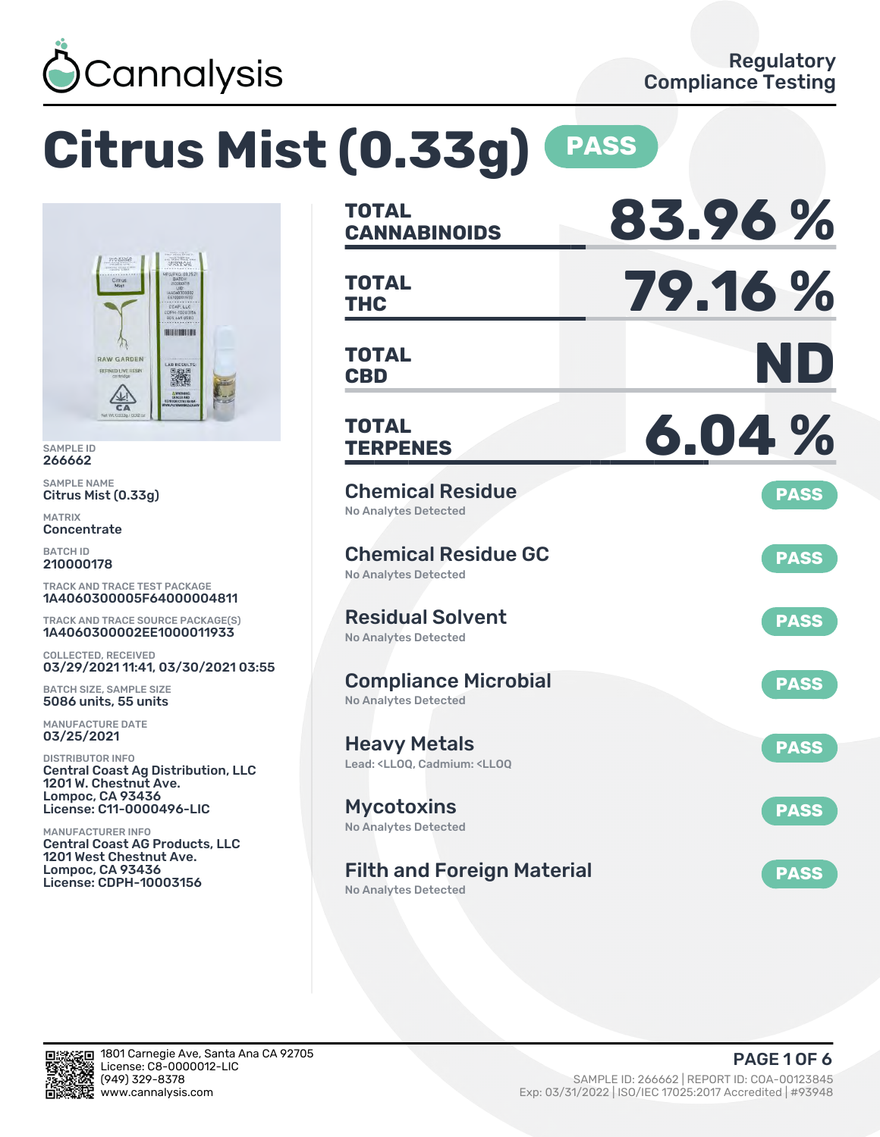

# **Citrus Mist (0.33g) PASS**



SAMPLE ID 266662

SAMPLE NAME Citrus Mist (0.33g)

MATRIX **Concentrate** 

BATCH ID 210000178

TRACK AND TRACE TEST PACKAGE 1A4060300005F64000004811

TRACK AND TRACE SOURCE PACKAGE(S) 1A4060300002EE1000011933

COLLECTED, RECEIVED 03/29/2021 11:41, 03/30/2021 03:55

BATCH SIZE, SAMPLE SIZE 5086 units, 55 units

MANUFACTURE DATE 03/25/2021

DISTRIBUTOR INFO Central Coast Ag Distribution, LLC 1201 W. Chestnut Ave. Lompoc, CA 93436 License: C11-0000496-LIC

MANUFACTURER INFO Central Coast AG Products, LLC 1201 West Chestnut Ave. Lompoc, CA 93436 License: CDPH-10003156

| <b>TOTAL</b><br><b>CANNABINOIDS</b>                                                          | 83.96%      |
|----------------------------------------------------------------------------------------------|-------------|
| <b>TOTAL</b><br><b>THC</b>                                                                   | 79.16%      |
| <b>TOTAL</b><br><b>CBD</b>                                                                   | ND          |
| <b>TOTAL</b><br><b>TERPENES</b>                                                              | 6.04%       |
| <b>Chemical Residue</b><br><b>No Analytes Detected</b>                                       | <b>PASS</b> |
| <b>Chemical Residue GC</b><br>No Analytes Detected                                           | <b>PASS</b> |
| <b>Residual Solvent</b><br><b>No Analytes Detected</b>                                       | <b>PASS</b> |
| <b>Compliance Microbial</b><br><b>No Analytes Detected</b>                                   | <b>PASS</b> |
| <b>Heavy Metals</b><br>Lead: <lloq, <lloq<="" cadmium:="" td=""><td><b>PASS</b></td></lloq,> | <b>PASS</b> |
| <b>Mycotoxins</b><br>No Analytes Detected                                                    | <b>PASS</b> |
| <b>Filth and Foreign Material</b><br>No Analytes Detected                                    | <b>PASS</b> |

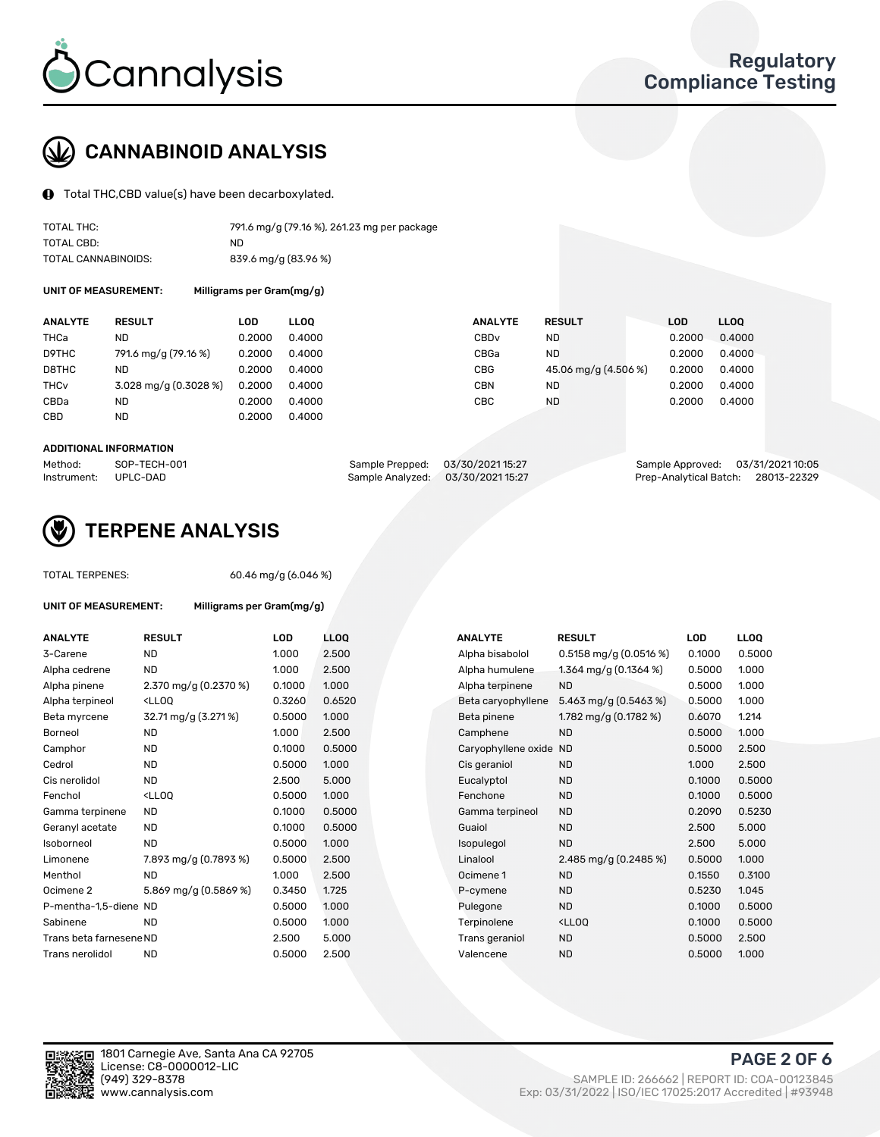

## CANNABINOID ANALYSIS

Total THC,CBD value(s) have been decarboxylated.

| TOTAL THC:          | 791.6 mg/g (79.16 %), 261.23 mg per package |
|---------------------|---------------------------------------------|
| TOTAL CBD:          | ND.                                         |
| TOTAL CANNABINOIDS: | 839.6 mg/g (83.96 %)                        |

UNIT OF MEASUREMENT: Milligrams per Gram(mg/g)

| <b>ANALYTE</b>         | <b>RESULT</b>         | LOD    | <b>LLOO</b> | <b>ANALYTE</b>   | <b>RESULT</b>        | <b>LOD</b> | <b>LLOO</b> |
|------------------------|-----------------------|--------|-------------|------------------|----------------------|------------|-------------|
| THCa                   | <b>ND</b>             | 0.2000 | 0.4000      | CBD <sub>v</sub> | <b>ND</b>            | 0.2000     | 0.4000      |
| D9THC                  | 791.6 mg/g (79.16 %)  | 0.2000 | 0.4000      | CBGa             | <b>ND</b>            | 0.2000     | 0.4000      |
| D8THC                  | ND                    | 0.2000 | 0.4000      | CBG              | 45.06 mg/g (4.506 %) | 0.2000     | 0.4000      |
| <b>THC<sub>v</sub></b> | 3.028 mg/g (0.3028 %) | 0.2000 | 0.4000      | CBN              | <b>ND</b>            | 0.2000     | 0.4000      |
| CBDa                   | <b>ND</b>             | 0.2000 | 0.4000      | CBC              | <b>ND</b>            | 0.2000     | 0.4000      |
| CBD                    | ND                    | 0.2000 | 0.4000      |                  |                      |            |             |
|                        |                       |        |             |                  |                      |            |             |

#### ADDITIONAL INFORMATION

| Method:              | SOP-TECH-001 | Sample Prepped: 03/30/2021 15:27  | Sample Approved: 03/31/2021 10:05  |  |
|----------------------|--------------|-----------------------------------|------------------------------------|--|
| Instrument: UPLC-DAD |              | Sample Analyzed: 03/30/2021 15:27 | Prep-Analytical Batch: 28013-22329 |  |



## TERPENE ANALYSIS

| <b>TOTAL TERPENES:</b>  |                                                  | 60.46 mg/g (6.046 %) |      |  |  |  |  |  |
|-------------------------|--------------------------------------------------|----------------------|------|--|--|--|--|--|
| UNIT OF MEASUREMENT:    | Milligrams per Gram(mg/g)                        |                      |      |  |  |  |  |  |
| <b>ANALYTE</b>          | <b>RESULT</b>                                    | <b>LOD</b>           | LL(  |  |  |  |  |  |
| 3-Carene                | <b>ND</b>                                        | 1.000                | 2.5  |  |  |  |  |  |
| Alpha cedrene           | <b>ND</b>                                        | 1.000                | 2.5  |  |  |  |  |  |
| Alpha pinene            | 2.370 mg/g $(0.2370\%)$                          | 0.1000               | 1.0  |  |  |  |  |  |
| Alpha terpineol         | <lloo< td=""><td>0.3260</td><td>0.6</td></lloo<> | 0.3260               | 0.6  |  |  |  |  |  |
| Beta myrcene            | 32.71 mg/g (3.271%)                              | 0.5000               | 1.0  |  |  |  |  |  |
| Borneol                 | <b>ND</b>                                        | 1.000                | 2.5  |  |  |  |  |  |
| Camphor                 | <b>ND</b>                                        | 0.1000               | 0.5  |  |  |  |  |  |
| Cedrol                  | <b>ND</b>                                        | 0.5000               | 1.0  |  |  |  |  |  |
| Cis nerolidol           | ND.                                              | 2.500                | 5.0  |  |  |  |  |  |
| Fenchol                 | <lloo< td=""><td>0.5000</td><td>1.0</td></lloo<> | 0.5000               | 1.0  |  |  |  |  |  |
| Gamma terpinene         | <b>ND</b>                                        | 0.1000               | 0.5  |  |  |  |  |  |
| Geranyl acetate         | <b>ND</b>                                        | 0.1000               | 0.5  |  |  |  |  |  |
| Isoborneol              | <b>ND</b>                                        | 0.5000               | 1.0  |  |  |  |  |  |
| Limonene                | 7.893 mg/g (0.7893 %)                            | 0.5000               | 2.5  |  |  |  |  |  |
| Menthol                 | ND.                                              | 1.000                | 2.5  |  |  |  |  |  |
| Ocimene 2               | 5.869 mg/g (0.5869 %)                            | 0.3450               | 1.72 |  |  |  |  |  |
| P-mentha-1,5-diene ND   |                                                  | 0.5000               | 1.0  |  |  |  |  |  |
| Sabinene                | <b>ND</b>                                        | 0.5000               | 1.0  |  |  |  |  |  |
| Trans beta farnesene ND |                                                  | 2.500                | 5.0  |  |  |  |  |  |
| Trans nerolidol         | <b>ND</b>                                        | 0.5000               | 2.5  |  |  |  |  |  |
|                         |                                                  |                      |      |  |  |  |  |  |

| ANALYTE                 | <b>RESULT</b>                                                                                                                             | <b>LOD</b> | <b>LLOQ</b> | <b>ANALYTE</b>      | <b>RESULT</b>                                       | <b>LOD</b> | <b>LLOQ</b> |
|-------------------------|-------------------------------------------------------------------------------------------------------------------------------------------|------------|-------------|---------------------|-----------------------------------------------------|------------|-------------|
| 3-Carene                | <b>ND</b>                                                                                                                                 | 1.000      | 2.500       | Alpha bisabolol     | $0.5158$ mg/g $(0.0516%)$                           | 0.1000     | 0.5000      |
| Alpha cedrene           | <b>ND</b>                                                                                                                                 | 1.000      | 2.500       | Alpha humulene      | 1.364 mg/g $(0.1364\%)$                             | 0.5000     | 1.000       |
| Alpha pinene            | 2.370 mg/g (0.2370 %)                                                                                                                     | 0.1000     | 1.000       | Alpha terpinene     | <b>ND</b>                                           | 0.5000     | 1.000       |
| Alpha terpineol         | <lloq< td=""><td>0.3260</td><td>0.6520</td><td>Beta caryophyllene</td><td>5.463 mg/g (0.5463 %)</td><td>0.5000</td><td>1.000</td></lloq<> | 0.3260     | 0.6520      | Beta caryophyllene  | 5.463 mg/g (0.5463 %)                               | 0.5000     | 1.000       |
| Beta myrcene            | 32.71 mg/g (3.271 %)                                                                                                                      | 0.5000     | 1.000       | Beta pinene         | 1.782 mg/g (0.1782 %)                               | 0.6070     | 1.214       |
| Borneol                 | <b>ND</b>                                                                                                                                 | 1.000      | 2.500       | Camphene            | <b>ND</b>                                           | 0.5000     | 1.000       |
| Camphor                 | <b>ND</b>                                                                                                                                 | 0.1000     | 0.5000      | Caryophyllene oxide | <b>ND</b>                                           | 0.5000     | 2.500       |
| Cedrol                  | <b>ND</b>                                                                                                                                 | 0.5000     | 1.000       | Cis geraniol        | <b>ND</b>                                           | 1.000      | 2.500       |
| Cis nerolidol           | <b>ND</b>                                                                                                                                 | 2.500      | 5.000       | Eucalyptol          | <b>ND</b>                                           | 0.1000     | 0.5000      |
| Fenchol                 | <lloq< td=""><td>0.5000</td><td>1.000</td><td>Fenchone</td><td><b>ND</b></td><td>0.1000</td><td>0.5000</td></lloq<>                       | 0.5000     | 1.000       | Fenchone            | <b>ND</b>                                           | 0.1000     | 0.5000      |
| Gamma terpinene         | <b>ND</b>                                                                                                                                 | 0.1000     | 0.5000      | Gamma terpineol     | <b>ND</b>                                           | 0.2090     | 0.5230      |
| Geranyl acetate         | <b>ND</b>                                                                                                                                 | 0.1000     | 0.5000      | Guaiol              | <b>ND</b>                                           | 2.500      | 5.000       |
| Isoborneol              | <b>ND</b>                                                                                                                                 | 0.5000     | 1.000       | Isopulegol          | <b>ND</b>                                           | 2.500      | 5.000       |
| Limonene                | 7.893 mg/g (0.7893 %)                                                                                                                     | 0.5000     | 2.500       | Linalool            | 2.485 mg/g $(0.2485\%)$                             | 0.5000     | 1.000       |
| Menthol                 | <b>ND</b>                                                                                                                                 | 1.000      | 2.500       | Ocimene 1           | <b>ND</b>                                           | 0.1550     | 0.3100      |
| Ocimene 2               | 5.869 mg/g (0.5869 %)                                                                                                                     | 0.3450     | 1.725       | P-cymene            | <b>ND</b>                                           | 0.5230     | 1.045       |
| P-mentha-1,5-diene ND   |                                                                                                                                           | 0.5000     | 1.000       | Pulegone            | <b>ND</b>                                           | 0.1000     | 0.5000      |
| Sabinene                | <b>ND</b>                                                                                                                                 | 0.5000     | 1.000       | Terpinolene         | <ll0q< td=""><td>0.1000</td><td>0.5000</td></ll0q<> | 0.1000     | 0.5000      |
| Trans beta farnesene ND |                                                                                                                                           | 2.500      | 5.000       | Trans geraniol      | <b>ND</b>                                           | 0.5000     | 2.500       |
| Trans nerolidol         | <b>ND</b>                                                                                                                                 | 0.5000     | 2.500       | Valencene           | <b>ND</b>                                           | 0.5000     | 1.000       |
|                         |                                                                                                                                           |            |             |                     |                                                     |            |             |

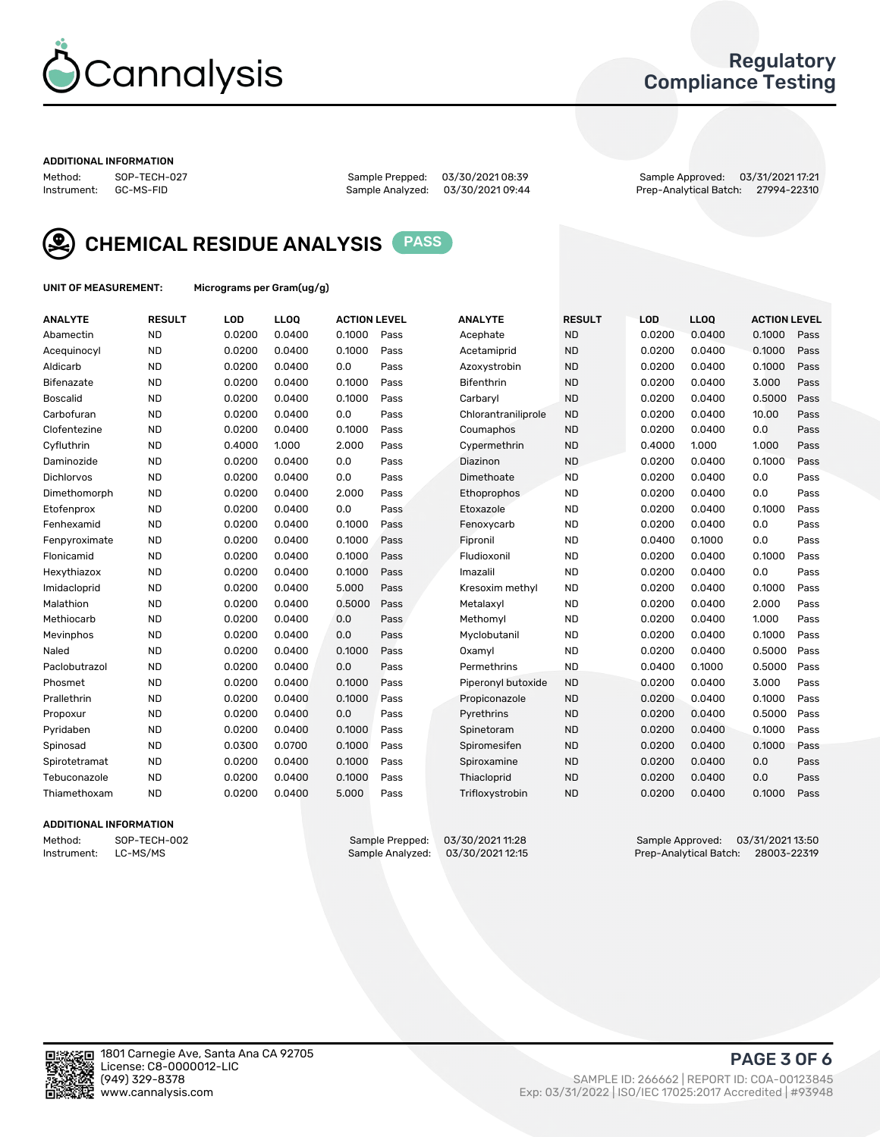

## Regulatory Compliance Testing

#### ADDITIONAL INFORMATION

Sample Analyzed: 03/30/2021 09:44

Method: SOP-TECH-027 Sample Prepped: 03/30/2021 08:39 Sample Approved: 03/31/2021 17:21



CHEMICAL RESIDUE ANALYSIS PASS

UNIT OF MEASUREMENT: Micrograms per Gram(ug/g)

| <b>ANALYTE</b>    | <b>RESULT</b> | LOD    | <b>LLOQ</b> | <b>ACTION LEVEL</b> |      | <b>ANALYTE</b>      | <b>RESULT</b> | <b>LOD</b> | <b>LLOQ</b> | <b>ACTION LEVEL</b> |      |
|-------------------|---------------|--------|-------------|---------------------|------|---------------------|---------------|------------|-------------|---------------------|------|
| Abamectin         | <b>ND</b>     | 0.0200 | 0.0400      | 0.1000              | Pass | Acephate            | <b>ND</b>     | 0.0200     | 0.0400      | 0.1000              | Pass |
| Acequinocyl       | <b>ND</b>     | 0.0200 | 0.0400      | 0.1000              | Pass | Acetamiprid         | <b>ND</b>     | 0.0200     | 0.0400      | 0.1000              | Pass |
| Aldicarb          | <b>ND</b>     | 0.0200 | 0.0400      | 0.0                 | Pass | Azoxystrobin        | <b>ND</b>     | 0.0200     | 0.0400      | 0.1000              | Pass |
| Bifenazate        | <b>ND</b>     | 0.0200 | 0.0400      | 0.1000              | Pass | <b>Bifenthrin</b>   | <b>ND</b>     | 0.0200     | 0.0400      | 3.000               | Pass |
| <b>Boscalid</b>   | <b>ND</b>     | 0.0200 | 0.0400      | 0.1000              | Pass | Carbarvl            | <b>ND</b>     | 0.0200     | 0.0400      | 0.5000              | Pass |
| Carbofuran        | <b>ND</b>     | 0.0200 | 0.0400      | 0.0                 | Pass | Chlorantraniliprole | <b>ND</b>     | 0.0200     | 0.0400      | 10.00               | Pass |
| Clofentezine      | <b>ND</b>     | 0.0200 | 0.0400      | 0.1000              | Pass | Coumaphos           | <b>ND</b>     | 0.0200     | 0.0400      | 0.0                 | Pass |
| Cyfluthrin        | <b>ND</b>     | 0.4000 | 1.000       | 2.000               | Pass | Cypermethrin        | <b>ND</b>     | 0.4000     | 1.000       | 1.000               | Pass |
| Daminozide        | <b>ND</b>     | 0.0200 | 0.0400      | 0.0                 | Pass | Diazinon            | <b>ND</b>     | 0.0200     | 0.0400      | 0.1000              | Pass |
| <b>Dichlorvos</b> | <b>ND</b>     | 0.0200 | 0.0400      | 0.0                 | Pass | Dimethoate          | <b>ND</b>     | 0.0200     | 0.0400      | 0.0                 | Pass |
| Dimethomorph      | <b>ND</b>     | 0.0200 | 0.0400      | 2.000               | Pass | <b>Ethoprophos</b>  | <b>ND</b>     | 0.0200     | 0.0400      | 0.0                 | Pass |
| Etofenprox        | <b>ND</b>     | 0.0200 | 0.0400      | 0.0                 | Pass | Etoxazole           | <b>ND</b>     | 0.0200     | 0.0400      | 0.1000              | Pass |
| Fenhexamid        | <b>ND</b>     | 0.0200 | 0.0400      | 0.1000              | Pass | Fenoxycarb          | <b>ND</b>     | 0.0200     | 0.0400      | 0.0                 | Pass |
| Fenpyroximate     | <b>ND</b>     | 0.0200 | 0.0400      | 0.1000              | Pass | Fipronil            | <b>ND</b>     | 0.0400     | 0.1000      | 0.0                 | Pass |
| Flonicamid        | <b>ND</b>     | 0.0200 | 0.0400      | 0.1000              | Pass | Fludioxonil         | <b>ND</b>     | 0.0200     | 0.0400      | 0.1000              | Pass |
| Hexythiazox       | <b>ND</b>     | 0.0200 | 0.0400      | 0.1000              | Pass | Imazalil            | <b>ND</b>     | 0.0200     | 0.0400      | 0.0                 | Pass |
| Imidacloprid      | <b>ND</b>     | 0.0200 | 0.0400      | 5.000               | Pass | Kresoxim methyl     | <b>ND</b>     | 0.0200     | 0.0400      | 0.1000              | Pass |
| Malathion         | <b>ND</b>     | 0.0200 | 0.0400      | 0.5000              | Pass | Metalaxyl           | <b>ND</b>     | 0.0200     | 0.0400      | 2.000               | Pass |
| Methiocarb        | <b>ND</b>     | 0.0200 | 0.0400      | 0.0                 | Pass | Methomyl            | <b>ND</b>     | 0.0200     | 0.0400      | 1.000               | Pass |
| Mevinphos         | <b>ND</b>     | 0.0200 | 0.0400      | 0.0                 | Pass | Myclobutanil        | <b>ND</b>     | 0.0200     | 0.0400      | 0.1000              | Pass |
| Naled             | <b>ND</b>     | 0.0200 | 0.0400      | 0.1000              | Pass | Oxamyl              | <b>ND</b>     | 0.0200     | 0.0400      | 0.5000              | Pass |
| Paclobutrazol     | <b>ND</b>     | 0.0200 | 0.0400      | 0.0                 | Pass | Permethrins         | <b>ND</b>     | 0.0400     | 0.1000      | 0.5000              | Pass |
| Phosmet           | <b>ND</b>     | 0.0200 | 0.0400      | 0.1000              | Pass | Piperonyl butoxide  | <b>ND</b>     | 0.0200     | 0.0400      | 3.000               | Pass |
| Prallethrin       | <b>ND</b>     | 0.0200 | 0.0400      | 0.1000              | Pass | Propiconazole       | <b>ND</b>     | 0.0200     | 0.0400      | 0.1000              | Pass |
| Propoxur          | <b>ND</b>     | 0.0200 | 0.0400      | 0.0                 | Pass | Pyrethrins          | <b>ND</b>     | 0.0200     | 0.0400      | 0.5000              | Pass |
| Pyridaben         | <b>ND</b>     | 0.0200 | 0.0400      | 0.1000              | Pass | Spinetoram          | <b>ND</b>     | 0.0200     | 0.0400      | 0.1000              | Pass |
| Spinosad          | <b>ND</b>     | 0.0300 | 0.0700      | 0.1000              | Pass | Spiromesifen        | <b>ND</b>     | 0.0200     | 0.0400      | 0.1000              | Pass |
| Spirotetramat     | <b>ND</b>     | 0.0200 | 0.0400      | 0.1000              | Pass | Spiroxamine         | <b>ND</b>     | 0.0200     | 0.0400      | 0.0                 | Pass |
| Tebuconazole      | <b>ND</b>     | 0.0200 | 0.0400      | 0.1000              | Pass | Thiacloprid         | <b>ND</b>     | 0.0200     | 0.0400      | 0.0                 | Pass |
| Thiamethoxam      | <b>ND</b>     | 0.0200 | 0.0400      | 5.000               | Pass | Trifloxystrobin     | <b>ND</b>     | 0.0200     | 0.0400      | 0.1000              | Pass |

## ADDITIONAL INFORMATION

Method: SOP-TECH-002 Sample Prepped: 03/30/2021 11:28 Sample Approved: 03/31/2021 13:50<br>Sample Analyzed: 03/30/2021 12:15 Prep-Analytical Batch: 28003-22319 Prep-Analytical Batch: 28003-22319

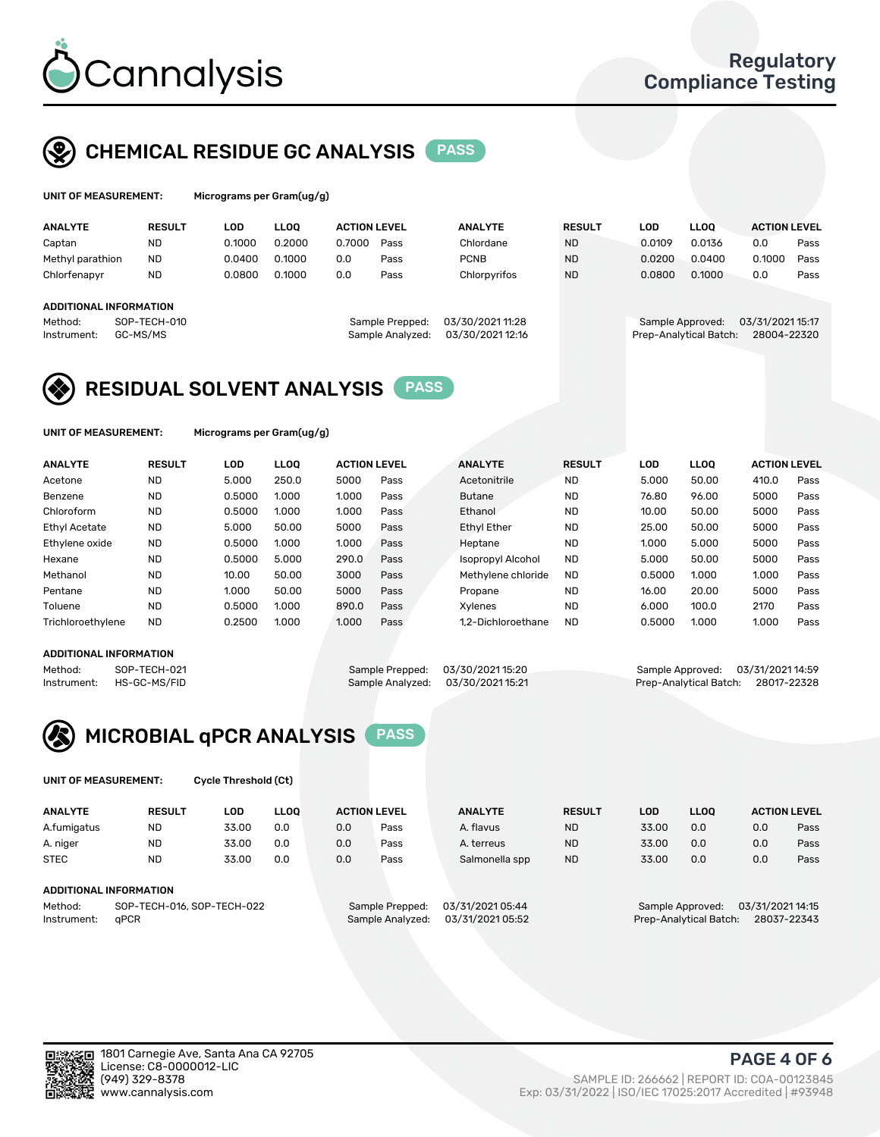

## CHEMICAL RESIDUE GC ANALYSIS PASS

| UNIT OF MEASUREMENT: | Micro |
|----------------------|-------|
|----------------------|-------|

grams per Gram(ug/g)

| <b>ANALYTE</b>                | <b>RESULT</b> | LOD    | <b>LLOO</b> | <b>ACTION LEVEL</b> |                  | <b>ANALYTE</b>   | <b>RESULT</b> | LOD              | <b>LLOO</b>            | <b>ACTION LEVEL</b> |      |
|-------------------------------|---------------|--------|-------------|---------------------|------------------|------------------|---------------|------------------|------------------------|---------------------|------|
| Captan                        | <b>ND</b>     | 0.1000 | 0.2000      | 0.7000              | Pass             | Chlordane        | <b>ND</b>     | 0.0109           | 0.0136                 | 0.0                 | Pass |
| Methyl parathion              | <b>ND</b>     | 0.0400 | 0.1000      | 0.0                 | Pass             | <b>PCNB</b>      | <b>ND</b>     | 0.0200           | 0.0400                 | 0.1000              | Pass |
| Chlorfenapyr                  | <b>ND</b>     | 0.0800 | 0.1000      | 0.0                 | Pass             | Chlorpyrifos     | <b>ND</b>     | 0.0800           | 0.1000                 | 0.0                 | Pass |
|                               |               |        |             |                     |                  |                  |               |                  |                        |                     |      |
| <b>ADDITIONAL INFORMATION</b> |               |        |             |                     |                  |                  |               |                  |                        |                     |      |
| Method:                       | SOP-TECH-010  |        |             |                     | Sample Prepped:  | 03/30/202111:28  |               | Sample Approved: |                        | 03/31/2021 15:17    |      |
| Instrument:                   | GC-MS/MS      |        |             |                     | Sample Analyzed: | 03/30/2021 12:16 |               |                  | Prep-Analytical Batch: | 28004-22320         |      |
|                               |               |        |             |                     |                  |                  |               |                  |                        |                     |      |

## RESIDUAL SOLVENT ANALYSIS PASS

UNIT OF MEASUREMENT: Micrograms per Gram(ug/g)

| <b>ANALYTE</b>       | <b>RESULT</b> | <b>LOD</b> | <b>LLOO</b> | <b>ACTION LEVEL</b> |      | <b>ANALYTE</b>           | <b>RESULT</b> | <b>LOD</b> | LLOO  | <b>ACTION LEVEL</b> |      |
|----------------------|---------------|------------|-------------|---------------------|------|--------------------------|---------------|------------|-------|---------------------|------|
| Acetone              | <b>ND</b>     | 5.000      | 250.0       | 5000                | Pass | Acetonitrile             | <b>ND</b>     | 5.000      | 50.00 | 410.0               | Pass |
| Benzene              | <b>ND</b>     | 0.5000     | 1.000       | 1.000               | Pass | <b>Butane</b>            | <b>ND</b>     | 76.80      | 96.00 | 5000                | Pass |
| Chloroform           | <b>ND</b>     | 0.5000     | 1.000       | 1.000               | Pass | Ethanol                  | <b>ND</b>     | 10.00      | 50.00 | 5000                | Pass |
| <b>Ethyl Acetate</b> | <b>ND</b>     | 5.000      | 50.00       | 5000                | Pass | <b>Ethyl Ether</b>       | <b>ND</b>     | 25.00      | 50.00 | 5000                | Pass |
| Ethylene oxide       | <b>ND</b>     | 0.5000     | 1.000       | 1.000               | Pass | Heptane                  | <b>ND</b>     | 1.000      | 5.000 | 5000                | Pass |
| Hexane               | <b>ND</b>     | 0.5000     | 5.000       | 290.0               | Pass | <b>Isopropyl Alcohol</b> | <b>ND</b>     | 5.000      | 50.00 | 5000                | Pass |
| Methanol             | <b>ND</b>     | 10.00      | 50.00       | 3000                | Pass | Methylene chloride       | <b>ND</b>     | 0.5000     | 1.000 | 1.000               | Pass |
| Pentane              | <b>ND</b>     | 1.000      | 50.00       | 5000                | Pass | Propane                  | <b>ND</b>     | 16.00      | 20.00 | 5000                | Pass |
| Toluene              | <b>ND</b>     | 0.5000     | 1.000       | 890.0               | Pass | Xvlenes                  | <b>ND</b>     | 6.000      | 100.0 | 2170                | Pass |
| Trichloroethylene    | <b>ND</b>     | 0.2500     | 1.000       | 1.000               | Pass | 1.2-Dichloroethane       | <b>ND</b>     | 0.5000     | 1.000 | 1.000               | Pass |

### ADDITIONAL INFORMATION

Method: SOP-TECH-021 Sample Prepped: 03/30/2021 15:20 Sample Approved: 03/31/2021 14:59<br>Instrument: HS-GC-MS/FID Sample Analyzed: 03/30/2021 15:21 Prep-Analytical Batch: 28017-22328 Prep-Analytical Batch: 28017-22328



UNIT OF MEASUREMENT: Cycle Threshold (Ct)

| <b>ANALYTE</b>         | <b>RESULT</b>              | LOD   | <b>LLOO</b> | <b>ACTION LEVEL</b> |                  | <b>ANALYTE</b>   | <b>RESULT</b> | LOD                    | <b>LLOO</b>      |                  | <b>ACTION LEVEL</b> |
|------------------------|----------------------------|-------|-------------|---------------------|------------------|------------------|---------------|------------------------|------------------|------------------|---------------------|
| A.fumigatus            | ND                         | 33.00 | 0.0         | 0.0                 | Pass             | A. flavus        | <b>ND</b>     | 33.00                  | 0.0              | 0.0              | Pass                |
| A. niger               | <b>ND</b>                  | 33.00 | 0.0         | 0.0                 | Pass             | A. terreus       | <b>ND</b>     | 33.00                  | 0.0              | 0.0              | Pass                |
| <b>STEC</b>            | <b>ND</b>                  | 33.00 | 0.0         | 0.0                 | Pass             | Salmonella spp   | <b>ND</b>     | 33.00                  | 0.0              | 0.0              | Pass                |
|                        |                            |       |             |                     |                  |                  |               |                        |                  |                  |                     |
| ADDITIONAL INFORMATION |                            |       |             |                     |                  |                  |               |                        |                  |                  |                     |
| Method:                | SOP-TECH-016, SOP-TECH-022 |       |             |                     | Sample Prepped:  | 03/31/2021 05:44 |               |                        | Sample Approved: | 03/31/2021 14:15 |                     |
| Instrument:            | aPCR                       |       |             |                     | Sample Analyzed: | 03/31/2021 05:52 |               | Prep-Analytical Batch: |                  |                  | 28037-22343         |

PAGE 4 OF 6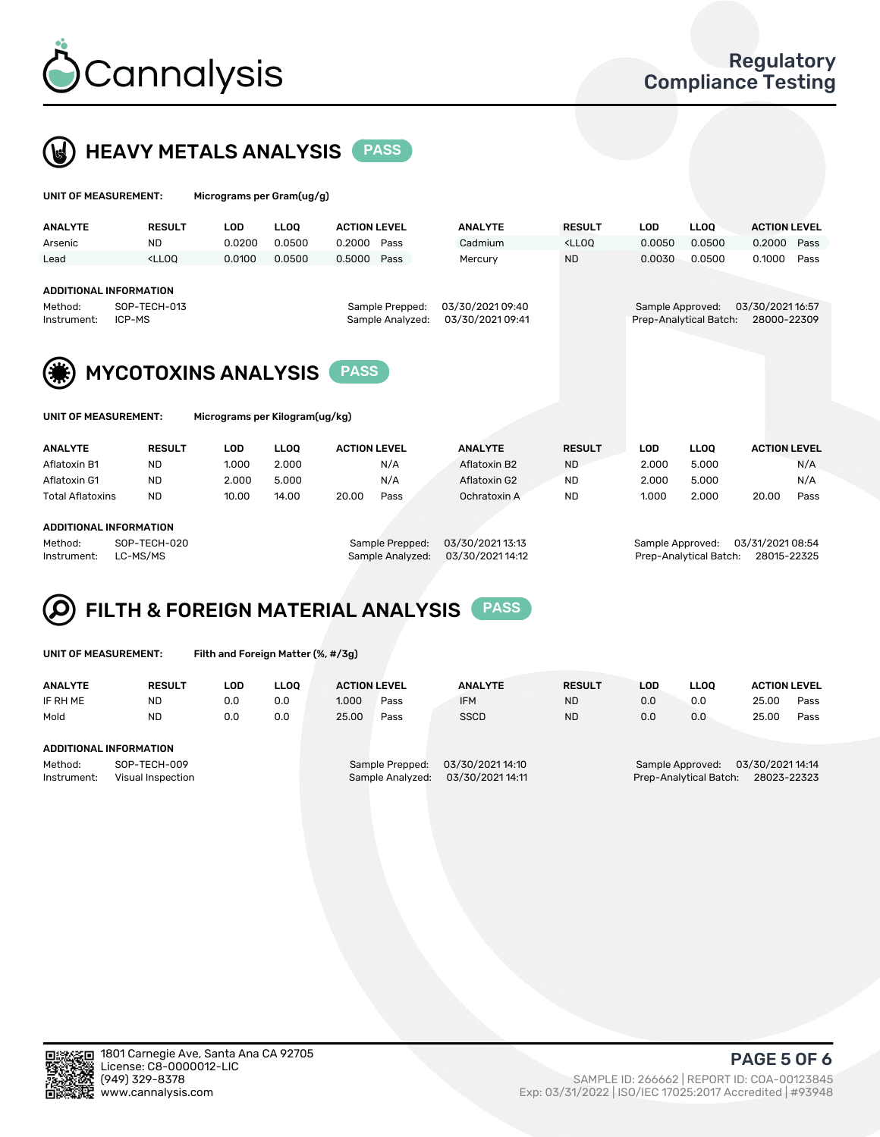



| UNIT OF MEASUREMENT:                                                                                              |                                                                                                                                                                             | Micrograms per Gram(ug/g)  |             |                     |      |                                     |                                                                                 |                                            |             |                                |      |
|-------------------------------------------------------------------------------------------------------------------|-----------------------------------------------------------------------------------------------------------------------------------------------------------------------------|----------------------------|-------------|---------------------|------|-------------------------------------|---------------------------------------------------------------------------------|--------------------------------------------|-------------|--------------------------------|------|
| <b>ANALYTE</b>                                                                                                    | <b>RESULT</b>                                                                                                                                                               | LOD                        | <b>LLOO</b> | <b>ACTION LEVEL</b> |      | <b>ANALYTE</b>                      | <b>RESULT</b>                                                                   | <b>LOD</b>                                 | <b>LLOO</b> | <b>ACTION LEVEL</b>            |      |
| Arsenic                                                                                                           | <b>ND</b>                                                                                                                                                                   | 0.0200                     | 0.0500      | 0.2000              | Pass | Cadmium                             | <lloq< td=""><td>0.0050</td><td>0.0500</td><td>0.2000</td><td>Pass</td></lloq<> | 0.0050                                     | 0.0500      | 0.2000                         | Pass |
| Lead                                                                                                              | <lloo< td=""><td>0.0100</td><td>0.0500</td><td>0.5000</td><td>Pass</td><td>Mercury</td><td><b>ND</b></td><td>0.0030</td><td>0.0500</td><td>0.1000</td><td>Pass</td></lloo<> | 0.0100                     | 0.0500      | 0.5000              | Pass | Mercury                             | <b>ND</b>                                                                       | 0.0030                                     | 0.0500      | 0.1000                         | Pass |
| ADDITIONAL INFORMATION<br>SOP-TECH-013<br>Sample Prepped:<br>Method:<br>Sample Analyzed:<br>ICP-MS<br>Instrument: |                                                                                                                                                                             |                            |             |                     |      | 03/30/2021 09:40<br>03/30/202109:41 |                                                                                 | Sample Approved:<br>Prep-Analytical Batch: |             | 03/30/202116:57<br>28000-22309 |      |
|                                                                                                                   |                                                                                                                                                                             | <b>MYCOTOXINS ANALYSIS</b> |             | <b>PASS</b>         |      |                                     |                                                                                 |                                            |             |                                |      |

| and the control of the con- | . |
|-----------------------------|---|
|                             |   |
|                             |   |
|                             |   |

| UNIT OF MEASUREMENT: | Micrograms per Kilogram(ug/kg) |
|----------------------|--------------------------------|
|                      |                                |

| <b>ANALYTE</b>   | <b>RESULT</b> | LOD   | <b>LLOO</b> | <b>ACTION LEVEL</b> |      |  | <b>ANALYTE</b> |  | <b>RESULT</b> |  | LOD   | <b>LLOO</b> |       | <b>ACTION LEVEL</b> |
|------------------|---------------|-------|-------------|---------------------|------|--|----------------|--|---------------|--|-------|-------------|-------|---------------------|
| Aflatoxin B1     | <b>ND</b>     | 1.000 | 2.000       |                     | N/A  |  | Aflatoxin B2   |  | <b>ND</b>     |  | 2.000 | 5.000       |       | N/A                 |
| Aflatoxin G1     | <b>ND</b>     | 2.000 | 5.000       |                     | N/A  |  | Aflatoxin G2   |  | <b>ND</b>     |  | 2.000 | 5.000       |       | N/A                 |
| Total Aflatoxins | <b>ND</b>     | 10.00 | 14.00       | 20.00               | Pass |  | Ochratoxin A   |  | <b>ND</b>     |  | 1.000 | 2.000       | 20.00 | Pass                |
|                  |               |       |             |                     |      |  |                |  |               |  |       |             |       |                     |
|                  |               |       |             |                     |      |  |                |  |               |  |       |             |       |                     |

#### ADDITIONAL INFORMATION

Method: SOP-TECH-020 Sample Prepped: 03/30/2021 13:13 Sample Approved: 03/31/2021 08:54 Instrument: LC-MS/MS Sample Analyzed: 03/30/2021 14:12 Prep-Analytical Batch: 28015-22325

#### FILTH & FOREIGN MATERIAL ANALYSIS PASS Q

UNIT OF MEASUREMENT: Filth and Foreign Matter (%, #/3g)

| <b>ANALYTE</b>         | <b>RESULT</b>                     | LOD | <b>LLOO</b> | <b>ACTION LEVEL</b> |                                     | <b>ANALYTE</b>                      | <b>RESULT</b> | LOD | <b>LLOO</b> | <b>ACTION LEVEL</b>                                                          |      |  |  |  |
|------------------------|-----------------------------------|-----|-------------|---------------------|-------------------------------------|-------------------------------------|---------------|-----|-------------|------------------------------------------------------------------------------|------|--|--|--|
| IF RH ME               | <b>ND</b>                         | 0.0 | 0.0         | 1.000               | Pass                                | <b>IFM</b>                          | <b>ND</b>     | 0.0 | 0.0         | 25.00                                                                        | Pass |  |  |  |
| Mold                   | <b>ND</b>                         | 0.0 | 0.0         | 25.00               | Pass                                | <b>SSCD</b>                         | <b>ND</b>     | 0.0 | 0.0         | 25.00                                                                        | Pass |  |  |  |
|                        | <b>ADDITIONAL INFORMATION</b>     |     |             |                     |                                     |                                     |               |     |             |                                                                              |      |  |  |  |
| Method:<br>Instrument: | SOP-TECH-009<br>Visual Inspection |     |             |                     | Sample Prepped:<br>Sample Analyzed: | 03/30/202114:10<br>03/30/2021 14:11 |               |     |             | 03/30/202114:14<br>Sample Approved:<br>Prep-Analytical Batch:<br>28023-22323 |      |  |  |  |



PAGE 5 OF 6